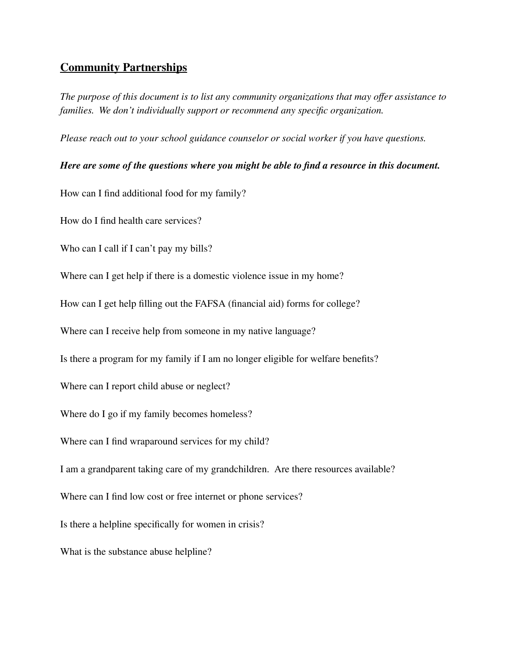# **Community Partnerships** Community Partnerships

The purpose of this document is to list any community organizations that may offer assistance to *families. We don't individually support or recommend any specific organization.* families. We don 't individually support or recommend any specific organization.

Please reach out to your school guidance counselor or social worker if you have questions.

# Here are some of the questions where you might be able to find a resource in this document.

How can I find additional food for my family? How can I find additional food for my family?

How do I find health care services? How do I find health care services?

Who can I call if I can't pay my bills? Who can I call if I can't pay my bills?

Where can I get help if there is a domestic violence issue in my home? Where can I get help if there is a domestic violence issue in my home?

How can I get help filling out the FAFSA (financial aid) forms for college? How can I get help filling out the FAFSA (financial aid) forms for college?

Where can I receive help from someone in my native language? Where can I receive help from someone in my native language?

Is there a program for my family if I am no longer eligible for welfare benefits? Is there a program for my family if I am no longer eligible for welfare benefits?

Where can I report child abuse or neglect? Where can I report child abuse or neglect?

Where do I go if my family becomes homeless? Where do I go if my family becomes homeless?

Where can I find wraparound services for my child? Where can I find wraparound services for my child?

I am a grandparent taking care of my grandchildren. Are there resources available? <sup>I</sup>am a grandparent taking care of my grandchildren. Are there resources available?

Where can I find low cost or free internet or phone services? Where can I find low cost or free internet or phone services?

Is there a helpline specifically for women in crisis? Is there a helpline specifically for women in crisis?

What is the substance abuse helpline? What is the substance abuse helpline?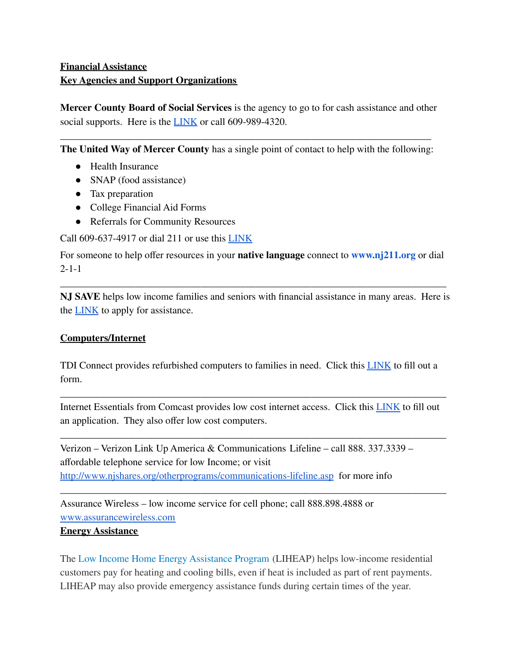# **Financial Assistance** Financial Assistance **Key Agencies and Support Organizations** Key Agencies and Support Organizations

Mercer County Board of Social Services is the agency to go to for cash assistance and other social supports. Here is the **[LINK](https://www.mcboss.org/)** or call 609-989-4320.

\_\_\_\_\_\_\_\_\_\_\_\_\_\_\_\_\_\_\_\_\_\_\_\_\_\_\_\_\_\_\_\_\_\_\_\_\_\_\_\_\_\_\_\_\_\_\_\_\_\_\_\_\_\_\_\_\_\_\_\_\_\_\_\_\_\_\_\_\_\_\_\_\_\_ **The United Way of Mercer County** has a single point of contact to help with the following: The United Way of Mercer County has a single point of contact to help with the following:

- Health Insurance Health Insurance
- SNAP (food assistance) SNAP (food assistance)
- Tax preparation Tax preparation
- College Financial Aid Forms College Financial Aid Forms
- Referrals for Community Resources Referrals for Community Resources

Call 609-637-4917 or dial 211 or use this **[LINK](https://www.uwgmc.org/benefits)** 

For someone to help offer resources in your **native language** connect to **[www.nj211.org](http://www.nj211.org/)** or dial For someone to help offer resources in your native language connect to www.nj211.org or dial 2-1-1 2-1-1

**NJ SAVE** helps low income families and seniors with financial assistance in many areas. Here is NJ SAVE helps low income families and seniors with financial assistance in many areas. Here is the **[LINK](https://www.state.nj.us/humanservices/doas/paad/)** to apply for assistance.

\_\_\_\_\_\_\_\_\_\_\_\_\_\_\_\_\_\_\_\_\_\_\_\_\_\_\_\_\_\_\_\_\_\_\_\_\_\_\_\_\_\_\_\_\_\_\_\_\_\_\_\_\_\_\_\_\_\_\_\_\_\_\_\_\_\_\_\_\_\_\_\_\_\_\_\_\_

# **Computers/Internet** Computers/lnternet

TDI Connect provides refurbished computers to families in need. Click this LINK to fill out a TDI Connect provides refurbished computers to families in need. Click this [LINK](http://tdiconnect.org/TDIConnect_PCRequest.php) to fill out <sup>a</sup> form. form.

Internet Essentials from Comcast provides low cost internet access. Click this [LINK](https://www.internetessentials.com/) to fill out an application. They also offer low cost computers. an application. They also offer low cost computers.

\_\_\_\_\_\_\_\_\_\_\_\_\_\_\_\_\_\_\_\_\_\_\_\_\_\_\_\_\_\_\_\_\_\_\_\_\_\_\_\_\_\_\_\_\_\_\_\_\_\_\_\_\_\_\_\_\_\_\_\_\_\_\_\_\_\_\_\_\_\_\_\_\_\_\_\_\_

\_\_\_\_\_\_\_\_\_\_\_\_\_\_\_\_\_\_\_\_\_\_\_\_\_\_\_\_\_\_\_\_\_\_\_\_\_\_\_\_\_\_\_\_\_\_\_\_\_\_\_\_\_\_\_\_\_\_\_\_\_\_\_\_\_\_\_\_\_\_\_\_\_\_\_\_\_

\_\_\_\_\_\_\_\_\_\_\_\_\_\_\_\_\_\_\_\_\_\_\_\_\_\_\_\_\_\_\_\_\_\_\_\_\_\_\_\_\_\_\_\_\_\_\_\_\_\_\_\_\_\_\_\_\_\_\_\_\_\_\_\_\_\_\_\_\_\_\_\_\_\_\_\_\_

Verizon – Verizon Link Up America & Communications Lifeline – call 888. 337.3339 – Verizon — Verizon Link Up America & Communications Lifeline — call 888. 337.3339 affordable telephone service for low Income; or visit affordable telephone service for low Income; or visit <http://www.njshares.org/otherprograms/communications-lifeline.asp> for more info http://www.njshares.org/otherprograms/communications-lifeline.asp for more info

Assurance Wireless – low income service for cell phone; call 888.898.4888 or Assurance Wireless — low income service for cell phone; call 888.898.4888 or [www.assurancewireless.com](http://www.assurancewireless.com) www.assurancewireless.com

### **Energy Assistance** Energy Assistance

The Low Income Home Energy [Assistance](https://www.nj.gov/dca/divisions/dhcr/offices/hea.html) Program (LIHEAP) helps low-income residential The Low Income Home Energy Assistance Program (LIHEAP) helps low-income residential customers pay for heating and cooling bills, even if heat is included as part of rent payments. customers pay for heating and cooling bills, even if heat is included as part of rent payments. LIHEAP may also provide emergency assistance funds during certain times of the year. LIHEAP may also provide emergency assistance funds during certain times of the year.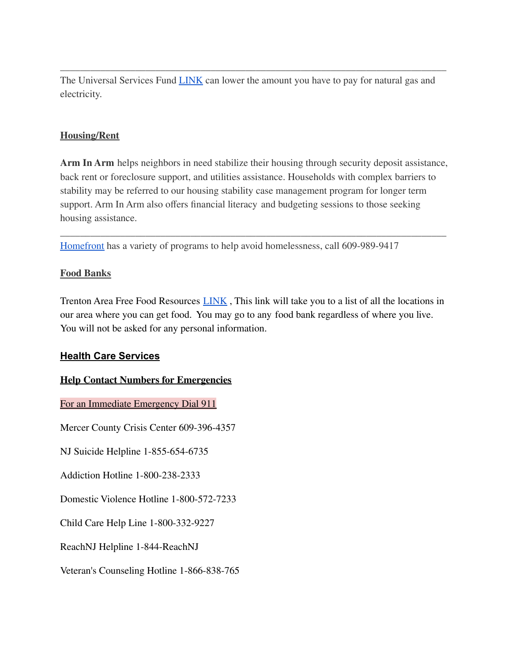The Universal Services Fund **LINK** can lower the amount you have to pay for natural gas and electricity. electricity.

\_\_\_\_\_\_\_\_\_\_\_\_\_\_\_\_\_\_\_\_\_\_\_\_\_\_\_\_\_\_\_\_\_\_\_\_\_\_\_\_\_\_\_\_\_\_\_\_\_\_\_\_\_\_\_\_\_\_\_\_\_\_\_\_\_\_\_\_\_\_\_\_\_\_\_\_\_

# **Housing/Rent** Housing/Rent

**Arm In Arm** helps neighbors in need stabilize their housing through security deposit assistance, Arm In Arm helps neighbors in need stabilize their housing through security deposit assistance, back rent or foreclosure support, and utilities assistance. Households with complex barriers to back rent or foreclosure support, and utilities assistance. Households with complex barriers to stability may be referred to our housing stability case management program for longer term stability may be referred to our housing stability case management program for longer term support. Arm In Arm also offers financial literacy and budgeting sessions to those seeking support. Arm In Arm also offers financial literacy and budgeting sessions to those seeking housing assistance. housing assistance.

\_\_\_\_\_\_\_\_\_\_\_\_\_\_\_\_\_\_\_\_\_\_\_\_\_\_\_\_\_\_\_\_\_\_\_\_\_\_\_\_\_\_\_\_\_\_\_\_\_\_\_\_\_\_\_\_\_\_\_\_\_\_\_\_\_\_\_\_\_\_\_\_\_\_\_\_\_

[Homefront](https://www.homefrontnj.org/home-25th/) has a variety of programs to help avoid homelessness, call 609-989-9417 Homefront has a variety of programs to help avoid homelessness, call 609-989-9417

# **Food Banks** Food Banks

Trenton Area Free Food Resources LINK , This link will take you to a list of all the locations in Trenton Area Free Food Resources [LINK](https://docs.google.com/document/d/1ifcoRiFGVWLtstl4603myQPk6Guv4UO0cEp6Y8rSoZw/edit) , This link will take you to a list of all the locations in our area where you can get food. You may go to any food bank regardless of where you live. our area where you can get food. You may go to any food bank regardless of where you live. You will not be asked for any personal information. You will not be asked for any personal information.

### **Health Care Services** Health Care Services

# **Help Contact Numbers for Emergencies** Help Contact Numbers for Emergencies

For an Immediate Emergency Dial 911 For an Immediate Emergency Dial 911

Mercer County Crisis Center 609-396-4357 Mercer County Crisis Center 609-396-4357

NJ Suicide Helpline 1-855-654-6735 NJ Suicide Helpline 1-855-654-6735

Addiction Hotline 1-800-238-2333 Addiction Hotline 1-800-238-2333

Domestic Violence Hotline 1-800-572-7233 Domestic Violence Hotline 1-800-572-7233

Child Care Help Line 1-800-332-9227 Child Care Help Line 1-800-332-9227

ReachNJ Helpline 1-844-ReachNJ ReachNJ Helpline 1-844-ReachNJ

Veteran's Counseling Hotline 1-866-838-765 Veteran's Counseling Hotline 1-866-838-765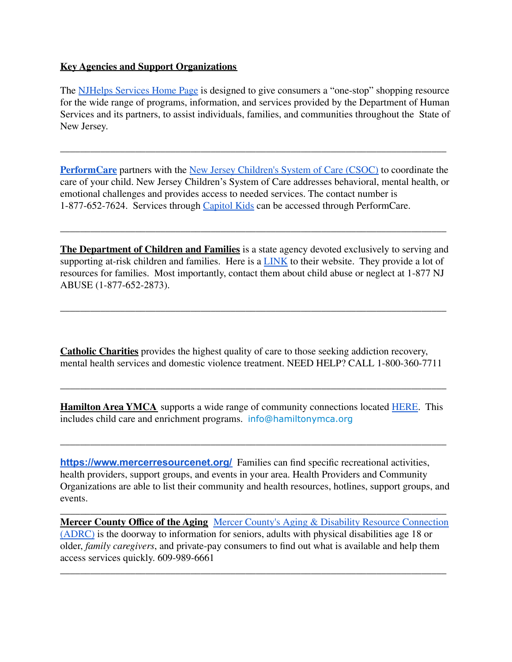# **Key Agencies and Support Organizations** Key Agencies and Support Organizations

The **[NJHelps](https://www.njhelps.org/) Services Home Page** is designed to give consumers a "one-stop" shopping resource for the wide range of programs, information, and services provided by the Department of Human Services and its partners, to assist individuals, families, and communities throughout the State of Services and its partners, to assist individuals, families, and communities throughout the State of New Jersey. New Jersey.

**[PerformCare](http://www.performcarenj.org/index.aspx)** partners with the New Jersey [Children's](https://www.nj.gov/dcf/about/divisions/dcsc/) System of Care (CSOC) to coordinate the PerformCare partners with the New Jersey Children's System of Care (CSOC) to coordinate the care of your child. New Jersey Children's System of Care addresses behavioral, mental health, or care of your child. New Jersey Children's System of Care addresses behavioral, mental health, or emotional challenges and provides access to needed services. The contact number is emotional challenges and provides access to needed services. The contact number is 1-877-652-7624. Services through [Capitol](http://capitolkids.org/) Kids can be accessed through PerformCare. 1-877-652-7624. Services through Capitol Kids can be accessed through PerformCare.

\_\_\_\_\_\_\_\_\_\_\_\_\_\_\_\_\_\_\_\_\_\_\_\_\_\_\_\_\_\_\_\_\_\_\_\_\_\_\_\_\_\_\_\_\_\_\_\_\_\_\_\_\_\_\_\_\_\_\_\_\_\_\_\_\_\_\_\_\_\_\_\_\_\_\_\_\_

The Department of Children and Families is a state agency devoted exclusively to serving and supporting at-risk children and families. Here is a **[LINK](https://www.nj.gov/dcf/)** to their website. They provide a lot of resources for families. Most importantly, contact them about child abuse or neglect at 1-877 NJ resources for families. Most importantly, contact them about child abuse or neglect at 1-877 NJ ABUSE (1-877-652-2873). ABUSE (1-877-652-2873).

\_\_\_\_\_\_\_\_\_\_\_\_\_\_\_\_\_\_\_\_\_\_\_\_\_\_\_\_\_\_\_\_\_\_\_\_\_\_\_\_\_\_\_\_\_\_\_\_\_\_\_\_\_\_\_\_\_\_\_\_\_\_\_\_\_\_\_\_\_\_\_\_\_\_\_\_\_

\_\_\_\_\_\_\_\_\_\_\_\_\_\_\_\_\_\_\_\_\_\_\_\_\_\_\_\_\_\_\_\_\_\_\_\_\_\_\_\_\_\_\_\_\_\_\_\_\_\_\_\_\_\_\_\_\_\_\_\_\_\_\_\_\_\_\_\_\_\_\_\_\_\_\_\_\_

**Catholic Charities** provides the highest quality of care to those seeking addiction recovery, Catholic Charities provides the highest quality of care to those seeking addiction recovery, mental health services and domestic violence treatment. NEED HELP? CALL 1-800-360-7711 mental health services and domestic violence treatment. NEED HELP? CALL 1-800-360-7711

**Hamilton Area YMCA** supports a wide range of community connections located [HERE](http://www.hamiltonymca.org/about-us/community-connections). This Hamilton Area YMCA supports a wide range of community connections located HERE. This includes child care and enrichment programs. info@hamiltonymca.org includes child care and enrichment programs. info@hamiltonymca.org

\_\_\_\_\_\_\_\_\_\_\_\_\_\_\_\_\_\_\_\_\_\_\_\_\_\_\_\_\_\_\_\_\_\_\_\_\_\_\_\_\_\_\_\_\_\_\_\_\_\_\_\_\_\_\_\_\_\_\_\_\_\_\_\_\_\_\_\_\_\_\_\_\_\_\_\_\_

\_\_\_\_\_\_\_\_\_\_\_\_\_\_\_\_\_\_\_\_\_\_\_\_\_\_\_\_\_\_\_\_\_\_\_\_\_\_\_\_\_\_\_\_\_\_\_\_\_\_\_\_\_\_\_\_\_\_\_\_\_\_\_\_\_\_\_\_\_\_\_\_\_\_\_\_\_

**<https://www.mercerresourcenet.org/>** Families can find specific recreational activities, https://www.mercerresourcenet.org/ Families can find specific recreational activities, health providers, support groups, and events in your area. Health Providers and Community health providers, support groups, and events in your area. Health Providers and Community Organizations are able to list their community and health resources, hotlines, support groups, and Organizations are able to list their community and health resources, hotlines, support groups, and events. events.

\_\_\_\_\_\_\_\_\_\_\_\_\_\_\_\_\_\_\_\_\_\_\_\_\_\_\_\_\_\_\_\_\_\_\_\_\_\_\_\_\_\_\_\_\_\_\_\_\_\_\_\_\_\_\_\_\_\_\_\_\_\_\_\_\_\_\_\_\_\_\_\_\_\_\_\_\_ **Mercer County Office of the Aging** Mercer County's Aging & Disability Resource [Connection](http://www.mercercounty.org/home/showdocument?id=10843) [\(ADRC\)](http://www.mercercounty.org/home/showdocument?id=10843) is the doorway to information for seniors, adults with physical disabilities age 18 or (ADRC) is the doorway to information for seniors, adults with physical disabilities age 18 or older, *family caregivers*, and private-pay consumers to find out what is available and help them older, family caregivers, and private-pay consumers to find out what is available and help them access services quickly. 609-989-6661 access services quickly. 609-989-6661

\_\_\_\_\_\_\_\_\_\_\_\_\_\_\_\_\_\_\_\_\_\_\_\_\_\_\_\_\_\_\_\_\_\_\_\_\_\_\_\_\_\_\_\_\_\_\_\_\_\_\_\_\_\_\_\_\_\_\_\_\_\_\_\_\_\_\_\_\_\_\_\_\_\_\_\_\_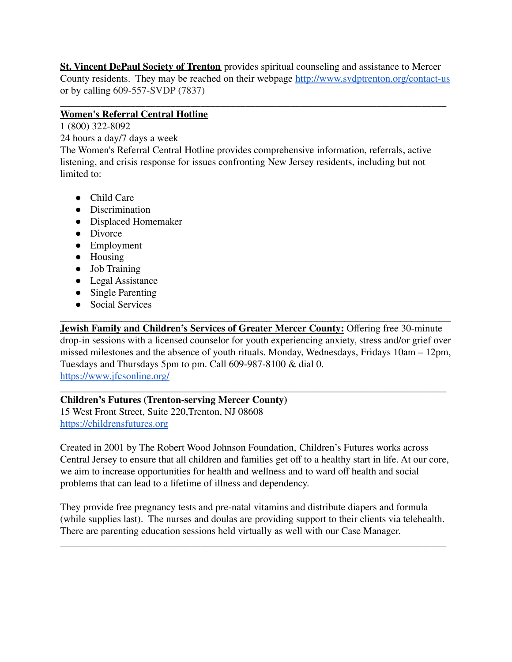St. Vincent DePaul Society of Trenton provides spiritual counseling and assistance to Mercer County residents. They may be reached on their webpage **<http://www.svdptrenton.org/contact-us>** or by calling 609-557-SVDP (7837) or by calling 609-557-SVDP (7837)

#### \_\_\_\_\_\_\_\_\_\_\_\_\_\_\_\_\_\_\_\_\_\_\_\_\_\_\_\_\_\_\_\_\_\_\_\_\_\_\_\_\_\_\_\_\_\_\_\_\_\_\_\_\_\_\_\_\_\_\_\_\_\_\_\_\_\_\_\_\_\_\_\_\_\_\_\_\_ **Women's Referral Central Hotline** Women's Referral Central Hotline

1 (800) 322-8092 <sup>1</sup>(800) 322-8092

24 hours a day/7 days a week

The Women's Referral Central Hotline provides comprehensive information, referrals, active The Women's Referral Central Hotline provides comprehensive information, referrals, active listening, and crisis response for issues confronting New Jersey residents, including but not listening, and crisis response for issues confronting New Jersey residents, including but not limited to: limited to:

- Child Care Child Care
- Discrimination Discrimination
- Displaced Homemaker Displaced Homemaker
- Divorce Divorce
- Employment Employment
- Housing Housing
- Job Training Job Training
- Legal Assistance Legal Assistance
- Single Parenting Single Parenting
- Social Services Social Services

**Jewish Family and Children's Services of Greater Mercer County:** Offering free 30-minute .Jewish Family and Children's Services of Greater Mercer County: Offering free 30-minute drop-in sessions with a licensed counselor for youth experiencing anxiety, stress and/or grief over drop-in sessions with a licensed counselor for youth experiencing anxiety, stress and/or grief over missed milestones and the absence of youth rituals. Monday, Wednesdays, Fridays 10am – 12pm, missed milestones and the absence of youth rituals. Monday, Wednesdays, Fridays 10am — 12pm, Tuesdays and Thursdays 5pm to pm. Call 609-987-8100 & dial 0. Tuesdays and Thursdays 5pm to pm. Call 609-987-8100 & dial 0. <https://www.jfcsonline.org/> https://www.jfcsonline.org/

 $\mathcal{L}_\text{max} = \mathcal{L}_\text{max} = \mathcal{L}_\text{max} = \mathcal{L}_\text{max} = \mathcal{L}_\text{max} = \mathcal{L}_\text{max} = \mathcal{L}_\text{max} = \mathcal{L}_\text{max} = \mathcal{L}_\text{max} = \mathcal{L}_\text{max} = \mathcal{L}_\text{max} = \mathcal{L}_\text{max} = \mathcal{L}_\text{max} = \mathcal{L}_\text{max} = \mathcal{L}_\text{max} = \mathcal{L}_\text{max} = \mathcal{L}_\text{max} = \mathcal{L}_\text{max} = \mathcal{$ 

#### \_\_\_\_\_\_\_\_\_\_\_\_\_\_\_\_\_\_\_\_\_\_\_\_\_\_\_\_\_\_\_\_\_\_\_\_\_\_\_\_\_\_\_\_\_\_\_\_\_\_\_\_\_\_\_\_\_\_\_\_\_\_\_\_\_\_\_\_\_\_\_\_\_\_\_\_\_ **Children's Futures (Trenton-serving Mercer County)** Children's Futures (Trenton-serving Mercer County)

15 West Front Street, Suite 220,Trenton, NJ 08608 15 West Front Street, Suite 220,Trenton, NJ 08608 <https://childrensfutures.org>

Created in 2001 by The Robert Wood Johnson Foundation, Children's Futures works across Created in 2001 by The Robert Wood Johnson Foundation, Children's Futures works across Central Jersey to ensure that all children and families get off to a healthy start in life. At our core, Central Jersey to ensure that all children and families get off to a healthy start in life. At our core, we aim to increase opportunities for health and wellness and to ward off health and social we aim to increase opportunities for health and wellness and to ward off health and social problems that can lead to a lifetime of illness and dependency. problems that can lead to a lifetime of illness and dependency.

They provide free pregnancy tests and pre-natal vitamins and distribute diapers and formula They provide free pregnancy tests and pre-natal vitamins and distribute diapers and formula (while supplies last). The nurses and doulas are providing support to their clients via telehealth. (while supplies last). The nurses and doulas are providing support to their clients via telehealth. There are parenting education sessions held virtually as well with our Case Manager. There are parenting education sessions held virtually as well with our Case Manager.

\_\_\_\_\_\_\_\_\_\_\_\_\_\_\_\_\_\_\_\_\_\_\_\_\_\_\_\_\_\_\_\_\_\_\_\_\_\_\_\_\_\_\_\_\_\_\_\_\_\_\_\_\_\_\_\_\_\_\_\_\_\_\_\_\_\_\_\_\_\_\_\_\_\_\_\_\_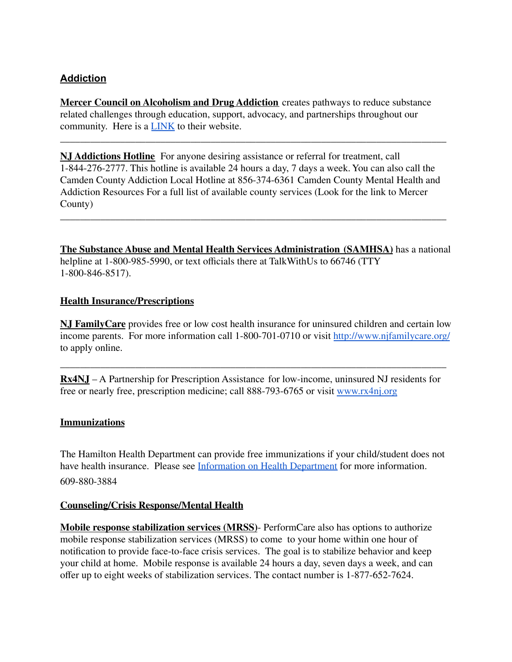### **Addiction** Addiction

**Mercer Council on Alcoholism and Drug Addiction** creates pathways to reduce substance Mercer Council on Alcoholism and Drug Addiction creates pathways to reduce substance related challenges through education, support, advocacy, and partnerships throughout our related challenges through education, support, advocacy, and partnerships throughout our community. Here is a **[LINK](https://www.mercercouncil.org/)** to their website.

**NJ Addictions Hotline** For anyone desiring assistance or referral for treatment, call NJ Addictions Hotline For anyone desiring assistance or referral for treatment, call 1-844-276-2777. This hotline is available 24 hours a day, 7 days a week. You can also call the 1-844-276-2777. This hotline is available 24 hours a day, 7 days a week. You can also call the Camden County Addiction Local Hotline at 856-374-6361 Camden County Mental Health and Camden County Addiction Local Hotline at 856-374-6361 Camden County Mental Health and Addiction Resources For a full list of available county services (Look for the link to Mercer Addiction Resources For a full list of available county services (Look for the link to Mercer County) County)

\_\_\_\_\_\_\_\_\_\_\_\_\_\_\_\_\_\_\_\_\_\_\_\_\_\_\_\_\_\_\_\_\_\_\_\_\_\_\_\_\_\_\_\_\_\_\_\_\_\_\_\_\_\_\_\_\_\_\_\_\_\_\_\_\_\_\_\_\_\_\_\_\_\_\_\_\_

\_\_\_\_\_\_\_\_\_\_\_\_\_\_\_\_\_\_\_\_\_\_\_\_\_\_\_\_\_\_\_\_\_\_\_\_\_\_\_\_\_\_\_\_\_\_\_\_\_\_\_\_\_\_\_\_\_\_\_\_\_\_\_\_\_\_\_\_\_\_\_\_\_\_\_\_\_

The Substance Abuse and Mental Health Services Administration (SAMHSA) has a national helpline at 1-800-985-5990, or text officials there at TalkWithUs to 66746 (TTY helpline at 1-800-985-5990, or text offcials there at TalkWithUs to 66746 (TTY 1-800-846-8517). 1-800-846-8517).

## **Health Insurance/Prescriptions** Health Insurance/Prescriptions

**NJ FamilyCare** provides free or low cost health insurance for uninsured children and certain low NJ FamilyCare provides free or low cost health insurance for uninsured children and certain low income parents. For more information call 1-800-701-0710 or visit <http://www.njfamilycare.org/> income parents. For more information call 1-800-701-0710 or visit http://www.njfamilycare.org/ to apply online. to apply online.

**Rx4NJ** – A Partnership for Prescription Assistance for low-income, uninsured NJ residents for Rx4NJ — A Partnership for Prescription Assistance for low-income, uninsured NJ residents for free or nearly free, prescription medicine; call 888-793-6765 or visit [www.rx4nj.org](http://www.rx4nj.org) free or nearly free, prescription medicine; call 888-793-6765 or visit www.rx4nj.org

\_\_\_\_\_\_\_\_\_\_\_\_\_\_\_\_\_\_\_\_\_\_\_\_\_\_\_\_\_\_\_\_\_\_\_\_\_\_\_\_\_\_\_\_\_\_\_\_\_\_\_\_\_\_\_\_\_\_\_\_\_\_\_\_\_\_\_\_\_\_\_\_\_\_\_\_\_

## **Immunizations** Immunizations

The Hamilton Health Department can provide free immunizations if your child/student does not The Hamilton Health Department can provide free immunizations if your child/student does not have health insurance. Please see [Information](https://www.hamilton.k12.nj.us/cms/lib/NJ02211210/Centricity/Domain/1060/Health%20Dept.%20Free%20Imms%202016.pdf) on Health Department for more information. 609-880-3884 609-880-3884

## **Counseling/Crisis Response/Mental Health** Counseling/Crisis Response/Mental Health

**Mobile response stabilization services (MRSS)**- PerformCare also has options to authorize Mobile response stabilization services (MRSS)- PerformCare also has options to authorize mobile response stabilization services (MRSS) to come to your home within one hour of mobile response stabilization services (MRSS) to come to your home within one hour of notification to provide face-to-face crisis services. The goal is to stabilize behavior and keep notification to provide face-to-face crisis services. The goal is to stabilize behavior and keep your child at home. Mobile response is available 24 hours a day, seven days a week, and can your child at home. Mobile response is available 24 hours a day, seven days a week, and can offer up to eight weeks of stabilization services. The contact number is 1-877-652-7624. offer up to eight weeks of stabilization services. The contact number is 1-877-652-7624.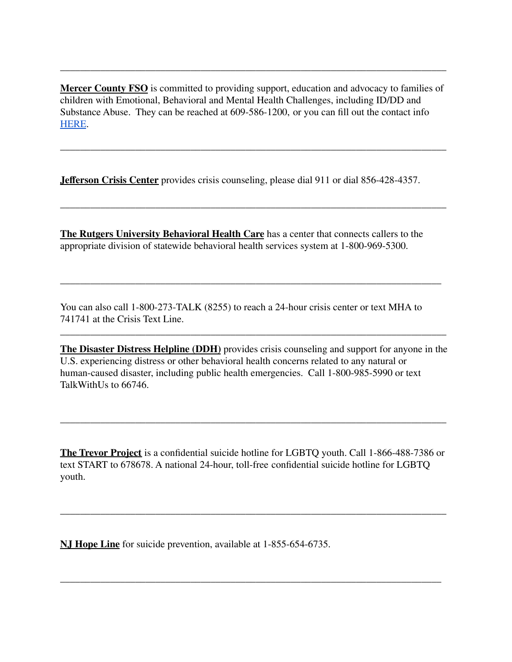**Mercer County FSO** is committed to providing support, education and advocacy to families of Mercer County FSO is committed to providing support, education and advocacy to families of children with Emotional, Behavioral and Mental Health Challenges, including ID/DD and children with Emotional, Behavioral and Mental Health Challenges, including ID/DD and Substance Abuse. They can be reached at 609-586-1200, or you can fill out the contact info Substance Abuse. They can be reached at 609-586-1200, or you can fill out the contact info [HERE](https://mercerfso.org/contact-us). HERE.

\_\_\_\_\_\_\_\_\_\_\_\_\_\_\_\_\_\_\_\_\_\_\_\_\_\_\_\_\_\_\_\_\_\_\_\_\_\_\_\_\_\_\_\_\_\_\_\_\_\_\_\_\_\_\_\_\_\_\_\_\_\_\_\_\_\_\_\_\_\_\_\_\_\_\_\_\_

\_\_\_\_\_\_\_\_\_\_\_\_\_\_\_\_\_\_\_\_\_\_\_\_\_\_\_\_\_\_\_\_\_\_\_\_\_\_\_\_\_\_\_\_\_\_\_\_\_\_\_\_\_\_\_\_\_\_\_\_\_\_\_\_\_\_\_\_\_\_\_\_\_\_\_\_\_

\_\_\_\_\_\_\_\_\_\_\_\_\_\_\_\_\_\_\_\_\_\_\_\_\_\_\_\_\_\_\_\_\_\_\_\_\_\_\_\_\_\_\_\_\_\_\_\_\_\_\_\_\_\_\_\_\_\_\_\_\_\_\_\_\_\_\_\_\_\_\_\_\_\_\_\_\_

**Jefferson Crisis Center** provides crisis counseling, please dial 911 or dial 856-428-4357. .Jefferson Crisis Center provides crisis counseling, please dial 911 or dial 856-428-4357.

**The Rutgers University Behavioral Health Care** has a center that connects callers to the The Rutgers University Behavioral Health Care has a center that connects callers to the appropriate division of statewide behavioral health services system at 1-800-969-5300. appropriate division of statewide behavioral health services system at 1-800-969-5300.

You can also call 1-800-273-TALK (8255) to reach a 24-hour crisis center or text MHA to 741741 at the Crisis Text Line. 741741 at the Crisis Text Line.

\_\_\_\_\_\_\_\_\_\_\_\_\_\_\_\_\_\_\_\_\_\_\_\_\_\_\_\_\_\_\_\_\_\_\_\_\_\_\_\_\_\_\_\_\_\_\_\_\_\_\_\_\_\_\_\_\_\_\_\_\_\_\_\_\_\_\_\_\_\_\_\_\_\_\_\_

**The Disaster Distress Helpline (DDH)** provides crisis counseling and support for anyone in the The Disaster Distress Helpline (DDH) provides crisis counseling and support for anyone in the U.S. experiencing distress or other behavioral health concerns related to any natural or U.S. experiencing distress or other behavioral health concerns related to any natural or human-caused disaster, including public health emergencies. Call 1-800-985-5990 or text human-caused disaster, including public health emergencies. Call 1-800-985-5990 or text TalkWithUs to 66746. TalkWithUs to 66746.

\_\_\_\_\_\_\_\_\_\_\_\_\_\_\_\_\_\_\_\_\_\_\_\_\_\_\_\_\_\_\_\_\_\_\_\_\_\_\_\_\_\_\_\_\_\_\_\_\_\_\_\_\_\_\_\_\_\_\_\_\_\_\_\_\_\_\_\_\_\_\_\_\_\_\_\_\_

**The Trevor Project** is a confidential suicide hotline for LGBTQ youth. Call 1-866-488-7386 or The Trevor Project is a confidential suicide hotline for LGBTQ youth. Call 1-866-488-7386 or text START to 678678. A national 24-hour, toll-free confidential suicide hotline for LGBTQ youth. youth.

\_\_\_\_\_\_\_\_\_\_\_\_\_\_\_\_\_\_\_\_\_\_\_\_\_\_\_\_\_\_\_\_\_\_\_\_\_\_\_\_\_\_\_\_\_\_\_\_\_\_\_\_\_\_\_\_\_\_\_\_\_\_\_\_\_\_\_\_\_\_\_\_\_\_\_\_\_

\_\_\_\_\_\_\_\_\_\_\_\_\_\_\_\_\_\_\_\_\_\_\_\_\_\_\_\_\_\_\_\_\_\_\_\_\_\_\_\_\_\_\_\_\_\_\_\_\_\_\_\_\_\_\_\_\_\_\_\_\_\_\_\_\_\_\_\_\_\_\_\_\_\_\_\_

\_\_\_\_\_\_\_\_\_\_\_\_\_\_\_\_\_\_\_\_\_\_\_\_\_\_\_\_\_\_\_\_\_\_\_\_\_\_\_\_\_\_\_\_\_\_\_\_\_\_\_\_\_\_\_\_\_\_\_\_\_\_\_\_\_\_\_\_\_\_\_\_\_\_\_\_\_

**NJ Hope Line** for suicide prevention, available at 1-855-654-6735. N.J Hope Line for suicide prevention, available at 1-855-654-6735.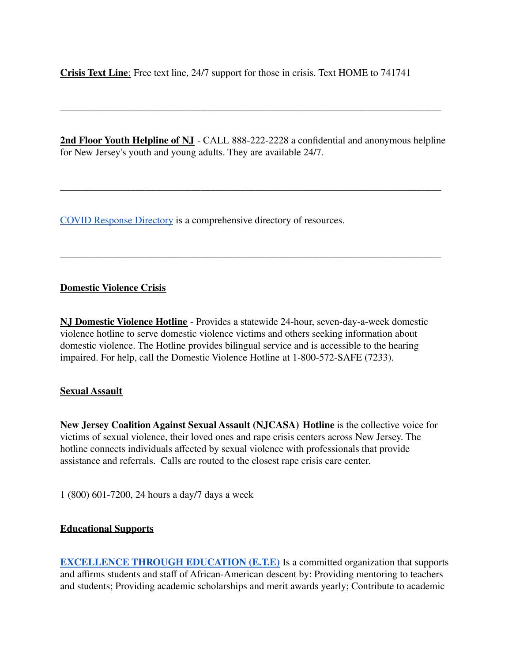**Crisis Text Line**: Free text line, 24/7 support for those in crisis. Text HOME to 741741 Crisis Text Line: Free text line, 24/7 support for those in crisis. Text HOME to <sup>741741</sup>

**2nd Floor Youth Helpline of NJ** - CALL 888-222-2228 a confidential and anonymous helpline 2nd Floor Youth Helpline of NJ - CALL 888-222-2228 a confidential and anonymous helpline for New Jersey's youth and young adults. They are available 24/7. for New Jersey's youth and young adults. They are available 24/7.

\_\_\_\_\_\_\_\_\_\_\_\_\_\_\_\_\_\_\_\_\_\_\_\_\_\_\_\_\_\_\_\_\_\_\_\_\_\_\_\_\_\_\_\_\_\_\_\_\_\_\_\_\_\_\_\_\_\_\_\_\_\_\_\_\_\_\_\_\_\_\_\_\_\_\_\_

\_\_\_\_\_\_\_\_\_\_\_\_\_\_\_\_\_\_\_\_\_\_\_\_\_\_\_\_\_\_\_\_\_\_\_\_\_\_\_\_\_\_\_\_\_\_\_\_\_\_\_\_\_\_\_\_\_\_\_\_\_\_\_\_\_\_\_\_\_\_\_\_\_\_\_\_

\_\_\_\_\_\_\_\_\_\_\_\_\_\_\_\_\_\_\_\_\_\_\_\_\_\_\_\_\_\_\_\_\_\_\_\_\_\_\_\_\_\_\_\_\_\_\_\_\_\_\_\_\_\_\_\_\_\_\_\_\_\_\_\_\_\_\_\_\_\_\_\_\_\_\_\_

COVID [Response](http://www.mercercounty.org/home/showdocument?id=18477) Directory is a comprehensive directory of resources. COVID Response Directory is a comprehensive directory of resources.

### **Domestic Violence Crisis** Domestic Violence Crisis

**NJ Domestic Violence Hotline** - Provides a statewide 24-hour, seven-day-a-week domestic NJ Domestic Violence Hotline - Provides a statewide 24-hour, seven-day-a-week domestic violence hotline to serve domestic violence victims and others seeking information about violence hotline to serve domestic violence victims and others seeking information about domestic violence. The Hotline provides bilingual service and is accessible to the hearing domestic violence. The Hotline provides bilingual service and is accessible to the hearing impaired. For help, call the Domestic Violence Hotline at 1-800-572-SAFE (7233). impaired. For help, call the Domestic Violence Hotline at 1-800-572-SAFE (7233).

### **Sexual Assault** Sexual Assault

New Jersey Coalition Against Sexual Assault (NJCASA) Hotline is the collective voice for victims of sexual violence, their loved ones and rape crisis centers across New Jersey. The victims of sexual violence, their loved ones and rape crisis centers across New Jersey. The hotline connects individuals affected by sexual violence with professionals that provide hotline connects individuals affected by sexual violence with professionals that provide assistance and referrals. Calls are routed to the closest rape crisis care center. assistance and referrals. Calls are routed to the closest rape crisis care center.

1 (800) 601-7200, 24 hours a day/7 days a week

### **Educational Supports** Educational Supports

**EXCELLENCE THROUGH [EDUCATION \(E.T.E\)](http://excellencethrougheducation.weebly.com/home.html)** Is a committed organization that supports EXCELLENCE THROUGH EDUCATION (E.T.E) Is a committed organization that supports and affirms students and staff of African-American descent by: Providing mentoring to teachers and affirms students and staff of African-American descent by: Providing mentoring to teachers and students; Providing academic scholarships and merit awards yearly; Contribute to academic and students; Providing academic scholarships and merit awards yearly; Contribute to academic